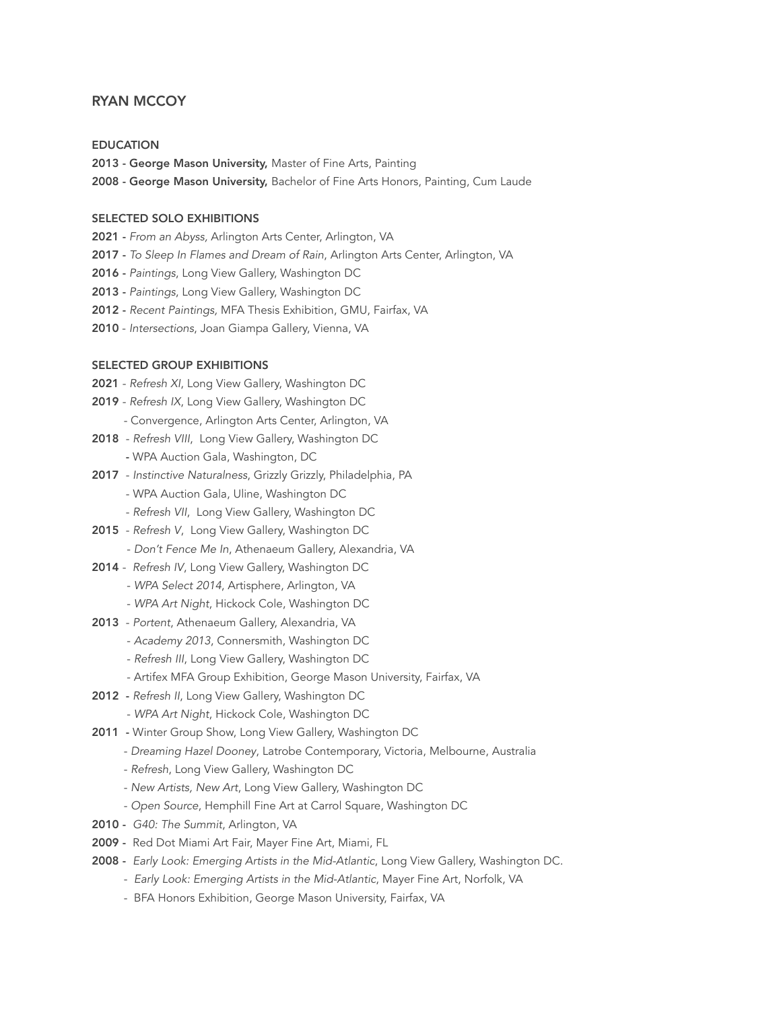# RYAN MCCOY

#### EDUCATION

- 2013 George Mason University, Master of Fine Arts, Painting
- 2008 George Mason University, Bachelor of Fine Arts Honors, Painting, Cum Laude

### SELECTED SOLO EXHIBITIONS

- 2021 *From an Abyss,* Arlington Arts Center, Arlington, VA
- 2017 *To Sleep In Flames and Dream of Rain*, Arlington Arts Center, Arlington, VA
- 2016 *Paintings*, Long View Gallery, Washington DC
- 2013 *Paintings*, Long View Gallery, Washington DC
- 2012 *Recent Paintings,* MFA Thesis Exhibition, GMU, Fairfax, VA
- 2010 *Intersections*, Joan Giampa Gallery, Vienna, VA

## SELECTED GROUP EXHIBITIONS

- 2021 *Refresh XI*, Long View Gallery, Washington DC
- 2019 *Refresh IX*, Long View Gallery, Washington DC
	- Convergence, Arlington Arts Center, Arlington, VA
- 2018 *Refresh VIII*, Long View Gallery, Washington DC
	- WPA Auction Gala, Washington, DC
- 2017 *Instinctive Naturalness*, Grizzly Grizzly, Philadelphia, PA
	- WPA Auction Gala, Uline, Washington DC
	- *Refresh VII*, Long View Gallery, Washington DC
- 2015 *Refresh V*, Long View Gallery, Washington DC
	- *Don't Fence Me In*, Athenaeum Gallery, Alexandria, VA
- 2014 *Refresh IV*, Long View Gallery, Washington DC
	- *WPA Select 2014*, Artisphere, Arlington, VA
	- *WPA Art Night*, Hickock Cole, Washington DC
- 2013 *Portent*, Athenaeum Gallery, Alexandria, VA
	- *Academy 2013*, Connersmith, Washington DC
	- *Refresh III*, Long View Gallery, Washington DC
	- Artifex MFA Group Exhibition, George Mason University, Fairfax, VA
- 2012 *Refresh II*, Long View Gallery, Washington DC
	- *WPA Art Night*, Hickock Cole, Washington DC
- 2011 Winter Group Show, Long View Gallery, Washington DC
	- *Dreaming Hazel Dooney*, Latrobe Contemporary, Victoria, Melbourne, Australia
	- *Refresh*, Long View Gallery, Washington DC
	- *New Artists, New Art*, Long View Gallery, Washington DC
	- *Open Source*, Hemphill Fine Art at Carrol Square, Washington DC
- 2010 *G40: The Summit*, Arlington, VA
- 2009 Red Dot Miami Art Fair, Mayer Fine Art, Miami, FL
- 2008 *Early Look: Emerging Artists in the Mid-Atlantic*, Long View Gallery, Washington DC.
	- *Early Look: Emerging Artists in the Mid-Atlantic*, Mayer Fine Art, Norfolk, VA
	- BFA Honors Exhibition, George Mason University, Fairfax, VA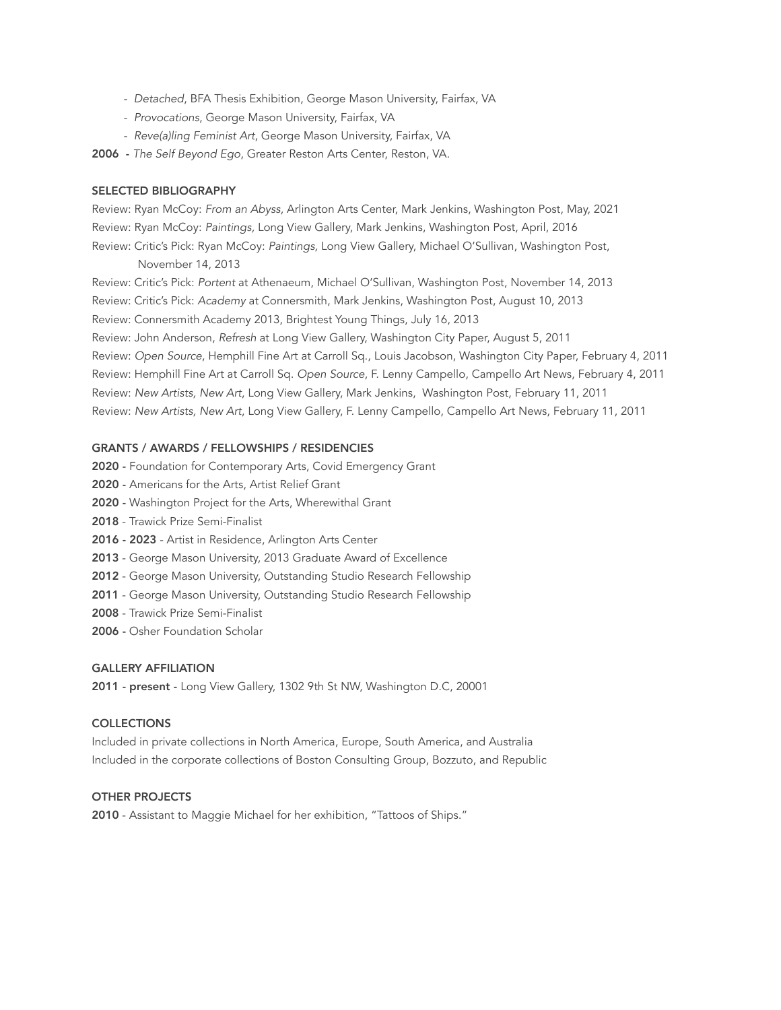- *Detached*, BFA Thesis Exhibition, George Mason University, Fairfax, VA
- *Provocations*, George Mason University, Fairfax, VA
- *Reve(a)ling Feminist Art*, George Mason University, Fairfax, VA

2006 - *The Self Beyond Ego*, Greater Reston Arts Center, Reston, VA.

#### SELECTED BIBLIOGRAPHY

Review: Ryan McCoy: *From an Abyss,* Arlington Arts Center, Mark Jenkins, Washington Post, May, 2021 Review: Ryan McCoy: *Paintings,* Long View Gallery, Mark Jenkins, Washington Post, April, 2016 Review: Critic's Pick: Ryan McCoy: *Paintings,* Long View Gallery, Michael O'Sullivan, Washington Post, November 14, 2013

Review: Critic's Pick: *Portent* at Athenaeum, Michael O'Sullivan, Washington Post, November 14, 2013 Review: Critic's Pick: *Academy* at Connersmith, Mark Jenkins, Washington Post, August 10, 2013 Review: Connersmith Academy 2013, Brightest Young Things, July 16, 2013 Review: John Anderson, *Refresh* at Long View Gallery, Washington City Paper, August 5, 2011 Review: *Open Source*, Hemphill Fine Art at Carroll Sq., Louis Jacobson, Washington City Paper, February 4, 2011 Review: Hemphill Fine Art at Carroll Sq. *Open Source*, F. Lenny Campello, Campello Art News, February 4, 2011 Review: *New Artists, New Art*, Long View Gallery, Mark Jenkins, Washington Post, February 11, 2011 Review: *New Artists, New Art*, Long View Gallery, F. Lenny Campello, Campello Art News, February 11, 2011

### GRANTS / AWARDS / FELLOWSHIPS / RESIDENCIES

2020 - Foundation for Contemporary Arts, Covid Emergency Grant

- 2020 Americans for the Arts, Artist Relief Grant
- 2020 Washington Project for the Arts, Wherewithal Grant
- 2018 Trawick Prize Semi-Finalist
- 2016 2023 Artist in Residence, Arlington Arts Center
- 2013 George Mason University, 2013 Graduate Award of Excellence
- 2012 George Mason University, Outstanding Studio Research Fellowship
- 2011 George Mason University, Outstanding Studio Research Fellowship
- 2008 Trawick Prize Semi-Finalist
- 2006 Osher Foundation Scholar

#### GALLERY AFFILIATION

2011 - present - Long View Gallery, 1302 9th St NW, Washington D.C, 20001

#### **COLLECTIONS**

Included in private collections in North America, Europe, South America, and Australia Included in the corporate collections of Boston Consulting Group, Bozzuto, and Republic

## OTHER PROJECTS

2010 - Assistant to Maggie Michael for her exhibition, "Tattoos of Ships."